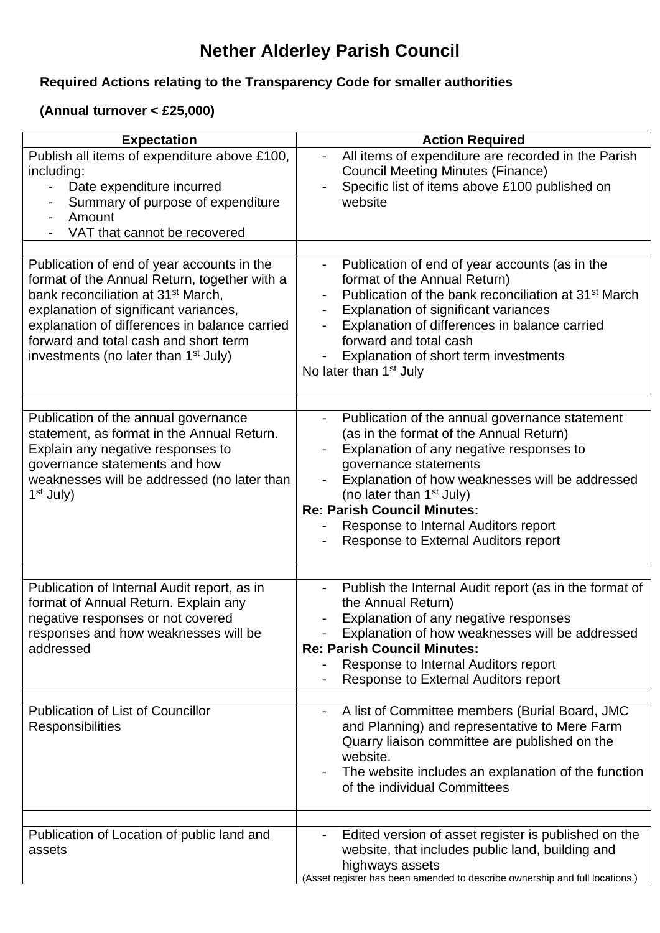## **Nether Alderley Parish Council**

## **Required Actions relating to the Transparency Code for smaller authorities**

## **(Annual turnover < £25,000)**

| <b>Expectation</b>                                                                                                                                                                                                                                                                    | <b>Action Required</b>                                                                                                                                                                                                                                                                             |
|---------------------------------------------------------------------------------------------------------------------------------------------------------------------------------------------------------------------------------------------------------------------------------------|----------------------------------------------------------------------------------------------------------------------------------------------------------------------------------------------------------------------------------------------------------------------------------------------------|
| Publish all items of expenditure above £100,<br>including:<br>Date expenditure incurred<br>Summary of purpose of expenditure<br>Amount<br>VAT that cannot be recovered                                                                                                                | All items of expenditure are recorded in the Parish<br>$\overline{\phantom{0}}$<br><b>Council Meeting Minutes (Finance)</b><br>Specific list of items above £100 published on<br>website                                                                                                           |
| Publication of end of year accounts in the                                                                                                                                                                                                                                            | Publication of end of year accounts (as in the                                                                                                                                                                                                                                                     |
| format of the Annual Return, together with a<br>bank reconciliation at 31 <sup>st</sup> March,<br>explanation of significant variances,<br>explanation of differences in balance carried<br>forward and total cash and short term<br>investments (no later than 1 <sup>st</sup> July) | format of the Annual Return)<br>Publication of the bank reconciliation at 31 <sup>st</sup> March<br>Explanation of significant variances<br>Explanation of differences in balance carried<br>forward and total cash<br>Explanation of short term investments<br>No later than 1 <sup>st</sup> July |
| Publication of the annual governance                                                                                                                                                                                                                                                  | Publication of the annual governance statement                                                                                                                                                                                                                                                     |
| statement, as format in the Annual Return.<br>Explain any negative responses to                                                                                                                                                                                                       | (as in the format of the Annual Return)<br>Explanation of any negative responses to                                                                                                                                                                                                                |
| governance statements and how<br>weaknesses will be addressed (no later than<br>$1st$ July)                                                                                                                                                                                           | governance statements<br>Explanation of how weaknesses will be addressed<br>(no later than 1 <sup>st</sup> July)<br><b>Re: Parish Council Minutes:</b>                                                                                                                                             |
|                                                                                                                                                                                                                                                                                       | Response to Internal Auditors report<br>Response to External Auditors report                                                                                                                                                                                                                       |
|                                                                                                                                                                                                                                                                                       |                                                                                                                                                                                                                                                                                                    |
| Publication of Internal Audit report, as in<br>format of Annual Return. Explain any<br>negative responses or not covered<br>responses and how weaknesses will be<br>addressed                                                                                                         | Publish the Internal Audit report (as in the format of<br>the Annual Return)<br>Explanation of any negative responses<br>Explanation of how weaknesses will be addressed<br><b>Re: Parish Council Minutes:</b><br>Response to Internal Auditors report<br>Response to External Auditors report     |
|                                                                                                                                                                                                                                                                                       |                                                                                                                                                                                                                                                                                                    |
| <b>Publication of List of Councillor</b><br><b>Responsibilities</b>                                                                                                                                                                                                                   | A list of Committee members (Burial Board, JMC<br>and Planning) and representative to Mere Farm<br>Quarry liaison committee are published on the<br>website.<br>The website includes an explanation of the function<br>of the individual Committees                                                |
|                                                                                                                                                                                                                                                                                       |                                                                                                                                                                                                                                                                                                    |
| Publication of Location of public land and<br>assets                                                                                                                                                                                                                                  | Edited version of asset register is published on the<br>website, that includes public land, building and<br>highways assets<br>(Asset register has been amended to describe ownership and full locations.)                                                                                         |